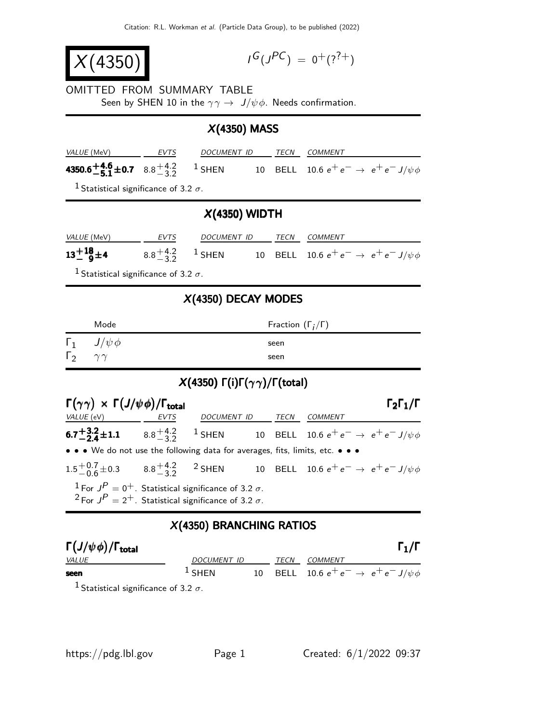| X(4350) |                                                                        |  | $I^G(J^{PC}) = 0^+(?^{?+})$                                                                                        |  |                              |                                                                                                                                                                                                               |                           |
|---------|------------------------------------------------------------------------|--|--------------------------------------------------------------------------------------------------------------------|--|------------------------------|---------------------------------------------------------------------------------------------------------------------------------------------------------------------------------------------------------------|---------------------------|
|         |                                                                        |  | OMITTED FROM SUMMARY TABLE<br>Seen by SHEN 10 in the $\gamma \gamma \rightarrow J/\psi \phi$ . Needs confirmation. |  |                              |                                                                                                                                                                                                               |                           |
|         |                                                                        |  | $X(4350)$ MASS                                                                                                     |  |                              |                                                                                                                                                                                                               |                           |
|         |                                                                        |  | VALUE (MeV) EVTS DOCUMENT ID TECN COMMENT                                                                          |  |                              |                                                                                                                                                                                                               |                           |
|         |                                                                        |  |                                                                                                                    |  |                              | 4350.6 $\pm$ 4.6 $\pm$ 0.7 8.8 $\pm$ 4.2 1 SHEN 10 BELL 10.6 $e^+e^- \rightarrow e^+e^- J/\psi \phi$                                                                                                          |                           |
|         | <sup>1</sup> Statistical significance of 3.2 $\sigma$ .                |  |                                                                                                                    |  |                              |                                                                                                                                                                                                               |                           |
|         |                                                                        |  | $X(4350)$ WIDTH                                                                                                    |  |                              |                                                                                                                                                                                                               |                           |
|         |                                                                        |  |                                                                                                                    |  |                              |                                                                                                                                                                                                               |                           |
|         |                                                                        |  |                                                                                                                    |  |                              | <b>13<sup>+18</sup><sub>0</sub>±4</b> 8.8 <sup>+4.2</sup> <sub>3</sub> <sup>2</sup> <sub>2</sub> 1 SHEN 10 BELL 10.6 e <sup>+</sup> e <sup>-</sup> $\rightarrow$ e <sup>+</sup> e <sup>-</sup> J/ $\psi \phi$ |                           |
|         | <sup>1</sup> Statistical significance of 3.2 $\sigma$ .                |  |                                                                                                                    |  |                              |                                                                                                                                                                                                               |                           |
|         |                                                                        |  | $X(4350)$ DECAY MODES                                                                                              |  |                              |                                                                                                                                                                                                               |                           |
|         | Mode                                                                   |  |                                                                                                                    |  | Fraction $(\Gamma_i/\Gamma)$ |                                                                                                                                                                                                               |                           |
|         | $\Gamma_1$ $J/\psi \phi$                                               |  |                                                                                                                    |  | seen                         |                                                                                                                                                                                                               |                           |
|         | $\Gamma_2 \quad \gamma \gamma$                                         |  |                                                                                                                    |  | seen                         |                                                                                                                                                                                                               |                           |
|         |                                                                        |  | $X(4350)$ Γ(i)Γ( $\gamma\gamma$ )/Γ(total)                                                                         |  |                              |                                                                                                                                                                                                               |                           |
|         | $\Gamma(\gamma\gamma) \times \Gamma(J/\psi\phi)/\Gamma_{\text{total}}$ |  |                                                                                                                    |  |                              |                                                                                                                                                                                                               | $\Gamma_2\Gamma_1/\Gamma$ |

| $\mathbf{y}$ , $\mathbf{y}$ , $\mathbf{y}$ , $\mathbf{y}$ , $\mathbf{y}$ , $\mathbf{y}$ , $\mathbf{y}$ , $\mathbf{y}$ , $\mathbf{y}$ , $\mathbf{y}$ , $\mathbf{y}$ , $\mathbf{y}$ , $\mathbf{y}$ , $\mathbf{y}$ , $\mathbf{y}$ , $\mathbf{y}$ , $\mathbf{y}$ , $\mathbf{y}$ , $\mathbf{y}$ , $\mathbf{y}$ , |  |  |  |
|-------------------------------------------------------------------------------------------------------------------------------------------------------------------------------------------------------------------------------------------------------------------------------------------------------------|--|--|--|
|                                                                                                                                                                                                                                                                                                             |  |  |  |
| <b>6.7<sup>+3.2</sup>±1.1</b> 8.8 <sup>+4.2</sup> <sup>1</sup> SHEN 10 BELL 10.6 $e^+e^- \rightarrow e^+e^- J/\psi \phi$                                                                                                                                                                                    |  |  |  |
| • • • We do not use the following data for averages, fits, limits, etc. • • •                                                                                                                                                                                                                               |  |  |  |
| $1.5^{+0.7}_{-0.6}$ $\pm$ 0.3 8.8 $^{+4.2}_{-3.2}$ 2 SHEN 10.8 ELL 10.6 e <sup>+</sup> e <sup>-</sup> $\rightarrow$ e <sup>+</sup> e <sup>-</sup> J/ $\psi \phi$                                                                                                                                            |  |  |  |
| <sup>1</sup> For $J^P = 0^+$ . Statistical significance of 3.2 $\sigma$ .<br><sup>2</sup> For $J^P = 2^+$ . Statistical significance of 3.2 $\sigma$ .                                                                                                                                                      |  |  |  |

## X(4350) BRANCHING RATIOS

| $\Gamma(J/\psi \phi)/\Gamma_{\rm total}$ |                    |  |             |                                                      | $\Gamma_1/\Gamma$ |
|------------------------------------------|--------------------|--|-------------|------------------------------------------------------|-------------------|
| <i>VALUE</i>                             | DOCUMENT ID        |  | <b>TFCN</b> | COMMENT                                              |                   |
| seen                                     | $\frac{1}{2}$ SHEN |  |             | 10 BELL 10.6 $e^+e^- \rightarrow e^+e^- J/\psi \phi$ |                   |
| 1. <i>. .</i>                            |                    |  |             |                                                      |                   |

<sup>1</sup> Statistical significance of 3.2  $\sigma$ .